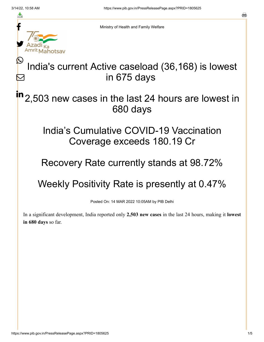≛

 $\bm{\nabla}$ 

a



Ministry of Health and Family Welfare

## India's current Active caseload (36,168) is lowest in 675 days

#### 2,503 new cases in the last 24 hours are lowest in 680 days in

### India's Cumulative COVID-19 Vaccination Coverage exceeds 180.19 Cr

## Recovery Rate currently stands at 98.72%

# Weekly Positivity Rate is presently at 0.47%

Posted On: 14 MAR 2022 10:05AM by PIB Delhi

In a significant development, India reported only **2,503 new cases** in the last 24 hours, making it **lowest in 680 days** so far.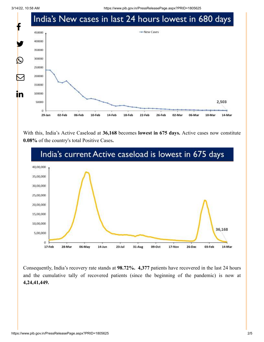3/14/22, 10:58 AM https://www.pib.gov.in/PressReleasePage.aspx?PRID=1805625



With this, India's Active Caseload at **36,168** becomes **lowest in 675 days.** Active cases now constitute **0.08%** of the country's total Positive Cases**.**



Consequently, India's recovery rate stands at **98.72%. 4,377** patients have recovered in the last 24 hours and the cumulative tally of recovered patients (since the beginning of the pandemic) is now at **4,24,41,449.**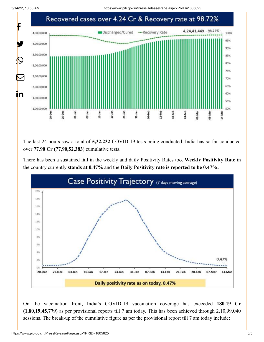3/14/22, 10:58 AM https://www.pib.gov.in/PressReleasePage.aspx?PRID=1805625



The last 24 hours saw a total of **5,32,232** COVID-19 tests being conducted. India has so far conducted over **77.90 Cr (77,90,52,383**) cumulative tests.

There has been a sustained fall in the weekly and daily Positivity Rates too. **Weekly Positivity Rate** in the country currently **stands at 0.47%** and the **Daily Positivity rate is reported to be 0.47%.**



On the vaccination front, India's COVID-19 vaccination coverage has exceeded **180.19 Cr (1,80,19,45,779)** as per provisional reports till 7 am today. This has been achieved through 2,10,99,040 sessions. The break-up of the cumulative figure as per the provisional report till 7 am today include: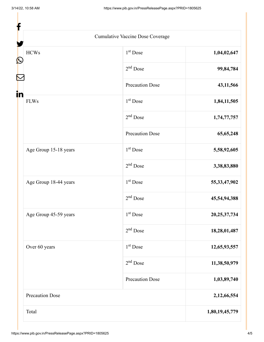|                        | Cumulative Vaccine Dose Coverage |                 |
|------------------------|----------------------------------|-----------------|
| <b>HCWs</b>            | $1st$ Dose                       | 1,04,02,647     |
|                        | $2nd$ Dose                       | 99,84,784       |
|                        | <b>Precaution Dose</b>           | 43,11,566       |
| <b>FLWs</b>            | $1st$ Dose                       | 1,84,11,505     |
|                        | $2nd$ Dose                       | 1,74,77,757     |
|                        | <b>Precaution Dose</b>           | 65, 65, 248     |
| Age Group 15-18 years  | $1st$ Dose                       | 5,58,92,605     |
|                        | $2nd$ Dose                       | 3,38,83,880     |
| Age Group 18-44 years  | $1st$ Dose                       | 55, 33, 47, 902 |
|                        | $2nd$ Dose                       | 45,54,94,388    |
| Age Group 45-59 years  | 1 <sup>st</sup> Dose             | 20, 25, 37, 734 |
|                        | $2nd$ Dose                       | 18,28,01,487    |
| Over 60 years          | $1st$ Dose                       | 12,65,93,557    |
|                        | $2nd$ Dose                       | 11,38,50,979    |
|                        | <b>Precaution Dose</b>           | 1,03,89,740     |
| <b>Precaution Dose</b> |                                  | 2,12,66,554     |
| Total                  |                                  | 1,80,19,45,779  |